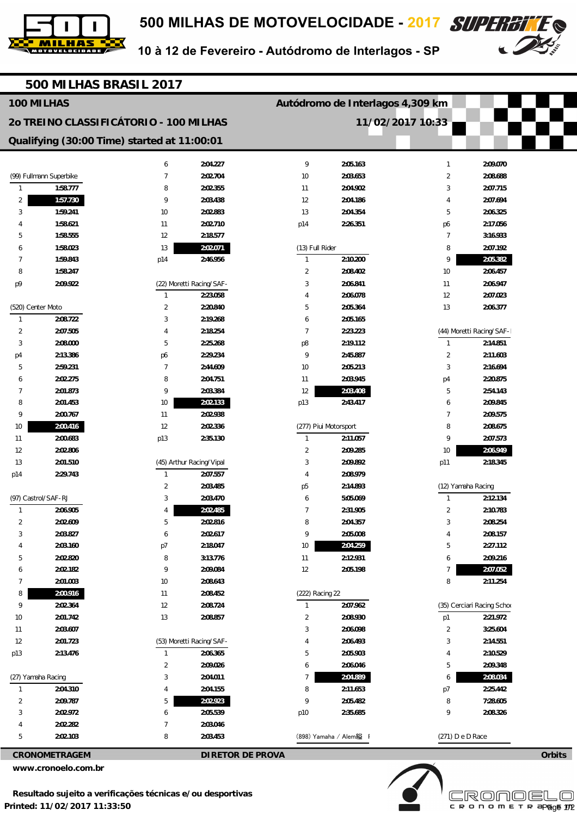



10 à 12 de Fevereiro - Autódromo de Interlagos - SP

| 500 MILHAS BRASIL 2017                          |                                        |                |                          |                       |                                  |                                    |                            |  |  |
|-------------------------------------------------|----------------------------------------|----------------|--------------------------|-----------------------|----------------------------------|------------------------------------|----------------------------|--|--|
|                                                 | 100 MILHAS                             |                |                          |                       | Autódromo de Interlagos 4,309 km |                                    |                            |  |  |
|                                                 | 20 TREINO CLASSIFICÁTORIO - 100 MILHAS |                |                          | 11/02/2017 10:33      |                                  |                                    |                            |  |  |
| Qualifying (30:00 Time) started at 11:00:01     |                                        |                |                          |                       |                                  |                                    |                            |  |  |
|                                                 |                                        |                |                          |                       |                                  |                                    |                            |  |  |
|                                                 |                                        | 6              | 2:04.227                 | 9                     | 2:05.163                         | $\mathbf{1}$                       | 2:09.070                   |  |  |
|                                                 | (99) Fullmann Superbike                | $\overline{7}$ | 2:02.704                 | 10                    | 2:03.653                         | $\overline{2}$                     | 2:08.688                   |  |  |
| 1                                               | 1:58.777                               | 8              | 2:02.355                 | 11                    | 2:04.902                         | 3                                  | 2:07.715                   |  |  |
| 2                                               | 1:57.730                               | 9              | 2:03.438                 | 12                    | 2:04.186                         | 4                                  | 2:07.694                   |  |  |
| 3                                               | 1:59.241<br>1:58.621                   | 10             | 2:02.883                 | 13                    | 2:04.354                         | 5                                  | 2:06.325                   |  |  |
| 5                                               | 1:58.555                               | 11<br>12       | 2:02.710<br>2:18.577     | p14                   | 2:26.351                         | p6<br>$\overline{7}$               | 2:17.056<br>3:16.933       |  |  |
| 6                                               | 1:58.023                               | 13             | 2:02.071                 | (13) Full Rider       |                                  | 8                                  | 2:07.192                   |  |  |
| 7                                               | 1:59.843                               | p14            | 2:46.956                 | $\mathbf{1}$          | 2:10.200                         | 9                                  | 2:05.382                   |  |  |
| 8                                               | 1:58.247                               |                |                          | $\overline{2}$        | 2:08.402                         | 10                                 | 2:06.457                   |  |  |
| p9                                              | 2:09.922                               |                | (22) Moretti Racing/SAF- | 3                     | 2:06.841                         | 11                                 | 2:06.947                   |  |  |
|                                                 |                                        | 1              | 2:23.058                 | 4                     | 2:06.078                         | 12                                 | 2:07.023                   |  |  |
|                                                 | (520) Center Moto                      | $\overline{2}$ | 2:20.840                 | 5                     | 2:05.364                         | 13                                 | 2:06.377                   |  |  |
| $\mathbf{1}$                                    | 2:08.722                               | 3              | 2:19.268                 | 6                     | 2:05.165                         |                                    |                            |  |  |
| 2                                               | 2:07.505                               | 4              | 2:18.254                 | $\overline{7}$        | 2:23.223                         |                                    | (44) Moretti Racing/SAF-   |  |  |
| 3                                               | 2:08.000                               | 5              | 2:25.268                 | p8                    | 2:19.112                         | $\mathbf{1}$                       | 2:14.851                   |  |  |
| p4                                              | 2:13.386                               | p6             | 2:29.234                 | 9                     | 2:45.887                         | $\overline{2}$                     | 2:11.603                   |  |  |
| 5                                               | 2:59.231                               | $\overline{7}$ | 2:44.609                 | 10                    | 2:05.213                         | 3                                  | 2:16.694                   |  |  |
| 6                                               | 2:02.275                               | 8              | 2:04.751                 | 11                    | 2:03.945                         | p4                                 | 2:20.875                   |  |  |
| 7                                               | 2:01.873                               | 9              | 2:03.384                 | 12                    | 2:03.408                         | 5                                  | 2:54.143                   |  |  |
| 8                                               | 2:01.453                               | 10             | 2:02.133                 | p13                   | 2:43.417                         | 6                                  | 2:09.845                   |  |  |
| 9                                               | 2:00.767                               | 11             | 2:02.938                 |                       |                                  | $\overline{7}$                     | 2:09.575                   |  |  |
| 10                                              | 2:00.416                               | 12             | 2:02.336                 | (277) Piui Motorsport |                                  | 8                                  | 2:08.675                   |  |  |
| 11                                              | 2:00.683                               | p13            | 2:35.130                 | $\mathbf{1}$          | 2:11.057                         | 9                                  | 2:07.573                   |  |  |
| 12                                              | 2:02.806                               |                |                          | $\overline{2}$        | 2:09.285                         | 10                                 | 2:06.949                   |  |  |
| 13                                              | 2:01.510                               |                | (45) Arthur Racing/Vipal | 3                     | 2:09.892                         | p11                                | 2:18.345                   |  |  |
| p14                                             | 2:29.743                               | 1              | 2:07.557                 | $\overline{4}$        | 2:08.979                         |                                    |                            |  |  |
|                                                 | (97) Castrol/SAF-RJ                    | $\overline{2}$ | 2:03.485                 | p <sub>5</sub>        | 2:14.893                         | (12) Yamaha Racing<br>$\mathbf{1}$ |                            |  |  |
| $\mathbf{1}$                                    | 2:06.905                               | 3<br>4         | 2:03.470<br>2:02.485     | 6<br>$\overline{7}$   | 5:05.069<br>2:31.905             | 2                                  | 2:12.134<br>2:10.783       |  |  |
| $\overline{2}$                                  | 2:02.609                               | 5              | 2:02.816                 | 8                     | 2:04.357                         | 3                                  | 2:08.254                   |  |  |
| 3                                               | 2:03.827                               | 6              | 2:02.617                 | 9                     | 2:05.008                         | 4                                  | 2:08.157                   |  |  |
|                                                 | 2:03.160                               | p7             | 2:18.047                 | 10                    | 2:04.259                         | 5                                  | 2:27.112                   |  |  |
| 5                                               | 2:02.820                               | 8              | 3:13.776                 | 11                    | 2:12.931                         | 6                                  | 2:09.216                   |  |  |
| 6                                               | 2:02.182                               | 9              | 2:09.084                 | 12                    | 2:05.198                         | $\overline{7}$                     | 2:07.052                   |  |  |
| 7                                               | 2:01.003                               | 10             | 2:08.643                 |                       |                                  | 8                                  | 2:11.254                   |  |  |
| 8                                               | 2:00.916                               | 11             | 2:08.452                 | (222) Racing 22       |                                  |                                    |                            |  |  |
| 9                                               | 2:02.364                               | 12             | 2:08.724                 | $\overline{1}$        | 2:07.962                         |                                    | (35) Cerciari Racing Schoo |  |  |
| 10                                              | 2:01.742                               | 13             | 2:08.857                 | 2                     | 2:08.930                         | p1                                 | 2:21.972                   |  |  |
| 11                                              | 2:03.607                               |                |                          | 3                     | 2:06.098                         | $\overline{2}$                     | 3:25.604                   |  |  |
| 12                                              | 2:01.723                               |                | (53) Moretti Racing/SAF- | 4                     | 2:06.493                         | 3                                  | 2:14.551                   |  |  |
| p13                                             | 2:13.476                               | $\mathbf{1}$   | 2:06.365                 | 5                     | 2:05.903                         | 4                                  | 2:10.529                   |  |  |
|                                                 |                                        | $\overline{2}$ | 2:09.026                 | 6                     | 2:06.046                         | 5                                  | 2:09.348                   |  |  |
|                                                 | (27) Yamaha Racing                     | 3              | 2:04.011                 | $\overline{7}$        | 2:04.889                         | 6                                  | 2:08.034                   |  |  |
| $\mathbf{1}$                                    | 2:04.310                               | 4              | 2:04.155                 | 8                     | 2:11.653                         | p7                                 | 2:25.442                   |  |  |
| $\overline{2}$                                  | 2:09.787                               | 5              | 2:02.923                 | 9                     | 2:05.482                         | 8                                  | 7:28.605                   |  |  |
| 3                                               | 2:02.972                               | 6              | 2:05.539                 | p10                   | 2:35.685                         | 9                                  | 2:08.326                   |  |  |
|                                                 | 2:02.282                               | 7              | 2:03.046                 |                       |                                  |                                    |                            |  |  |
| 5                                               | 2:02.103                               | 8              | 2:03.453                 |                       | (898) Yamaha / Alem縊 I           | (271) D e D Race                   |                            |  |  |
| <b>CRONOMETRAGEM</b><br><b>DIRETOR DE PROVA</b> |                                        |                |                          |                       |                                  | Orbits                             |                            |  |  |

**www.cronoelo.com.br**